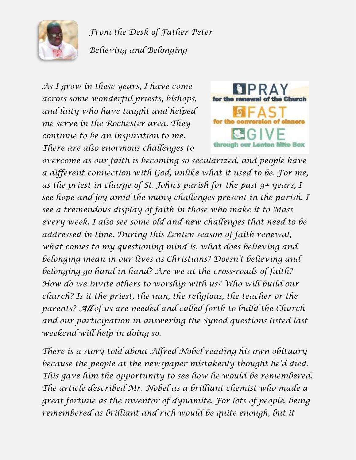

*From the Desk of Father Peter Believing and Belonging*

*As I grow in these years, I have come across some wonderful priests, bishops, and laity who have taught and helped me serve in the Rochester area. They continue to be an inspiration to me. There are also enormous challenges to* 



*overcome as our faith is becoming so secularized, and people have a different connection with God, unlike what it used to be. For me, as the priest in charge of St. John's parish for the past 9+ years, I see hope and joy amid the many challenges present in the parish. I see a tremendous display of faith in those who make it to Mass every week. I also see some old and new challenges that need to be addressed in time. During this Lenten season of faith renewal, what comes to my questioning mind is, what does believing and belonging mean in our lives as Christians? Doesn't believing and belonging go hand in hand? Are we at the cross-roads of faith? How do we invite others to worship with us? Who will build our church? Is it the priest, the nun, the religious, the teacher or the parents? All of us are needed and called forth to build the Church and our participation in answering the Synod questions listed last weekend will help in doing so.*

*There is a story told about Alfred Nobel reading his own obituary because the people at the newspaper mistakenly thought he'd died. This gave him the opportunity to see how he would be remembered. The article described Mr. Nobel as a brilliant chemist who made a great fortune as the inventor of dynamite. For lots of people, being remembered as brilliant and rich would be quite enough, but it*